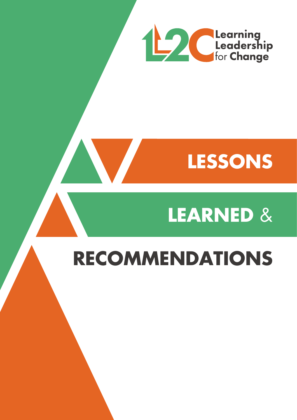

## **LESSONS**

# **LEARNED** &

### **RECOMMENDATIONS**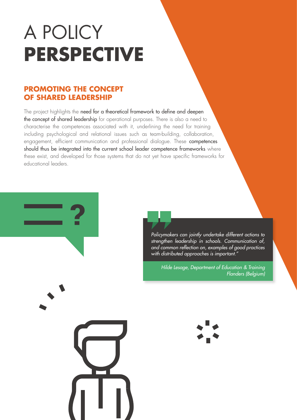## A POLICY **PERSPECTIVE**

### **PROMOTING THE CONCEPT OF SHARED LEADERSHIP**

The project highlights the need for a theoretical framework to define and deepen the concept of shared leadership for operational purposes. There is also a need to characterise the competences associated with it, underlining the need for training including psychological and relational issues such as team-building, collaboration, engagement, efficient communication and professional dialogue. These **competences** should thus be integrated into the current school leader competence frameworks where these exist, and developed for those systems that do not yet have specific frameworks for educational leaders.

> *Policymakers can jointly undertake different actions to strengthen leadership in schools. Communication of, and common reflection on, examples of good practices with distributed approaches is important."*

*Hilde Lesage, Department of Education & Training Flanders (Belgium)*



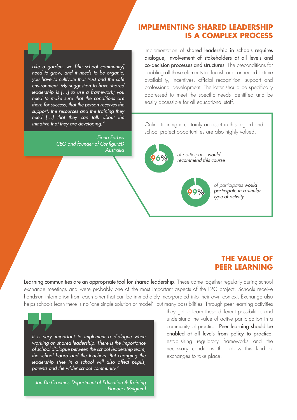#### **IMPLEMENTING SHARED LEADERSHIP IS A COMPLEX PROCESS**

*Like a garden, we [the school community] need to grow, and it needs to be organic; you have to cultivate that trust and the safe environment. My suggestion to have shared leadership is […] to use a framework; you need to make sure that the conditions are there for success, that the person receives the support, the resources and the training they need […] that they can talk about the initiative that they are developing."*

> *Fiona Forbes CEO and founder of ConfigurED Australia*

Implementation of shared leadership in schools requires dialogue, involvement of stakeholders at all levels and co-decision processes and structures. The preconditions for enabling all these elements to flourish are connected to time availability, incentives, official recognition, support and professional development. The latter should be specifically addressed to meet the specific needs identified and be easily accessible for all educational staff.

Online training is certainly an asset in this regard and school project opportunities are also highly valued.

> *of participants would recommend this course*

> > *of participants would participate in a similar type of activity*

### **THE VALUE OF PEER LEARNING**

Learning communities are an appropriate tool for shared leadership. These came together regularly during school exchange meetings and were probably one of the most important aspects of the L2C project. Schools receive hands-on information from each other that can be immediately incorporated into their own context. Exchange also helps schools learn there is no 'one single solution or model', but many possibilities. Through peer learning activities

*It is very important to implement a dialogue when working on shared leadership. There is the importance of school dialogue between the school leadership team, the school board and the teachers. But changing the leadership style in a school will also affect pupils, parents and the wider school community."*

*Jan De Craemer, Department of Education & Training Flanders (Belgium)* they get to learn these different possibilities and understand the value of active participation in a community of practice. Peer learning should be enabled at all levels from policy to practice, establishing regulatory frameworks and the necessary conditions that allow this kind of exchanges to take place.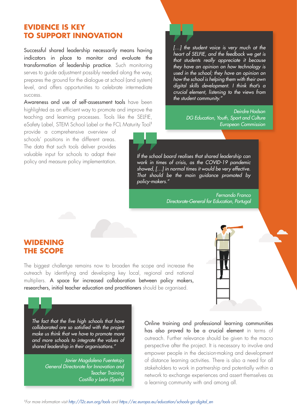### **EVIDENCE IS KEY TO SUPPORT INNOVATION**

Successful shared leadership necessarily means having indicators in place to monitor and evaluate the transformation of leadership practice. Such monitoring serves to guide adjustment possibly needed along the way, prepares the ground for the dialogue at school (and system) level, and offers opportunities to celebrate intermediate success.

Awareness and use of self-assessment tools have been highlighted as an efficient way to promote and improve the teaching and learning processes. Tools like the SELFIE, eSafety Label, STEM School Label or the FCL Maturity Tool<sup>1</sup>

provide a comprehensive overview of schools' positions in the different areas. The data that such tools deliver provides valuable input for schools to adapt their policy and measure policy implementation. *[…] the student voice is very much at the heart of SELFIE, and the feedback we get is that students really appreciate it because they have an opinion on how technology is used in the school; they have an opinion on how the school is helping them with their own digital skills development. I think that's a crucial element, listening to the views from the student community."*

> *Deirdre Hodson DG Education, Youth, Sport and Culture European Commission*

*If the school board realises that shared leadership can work in times of crisis, as the COVID-19 pandemic showed, […] in normal times it would be very effective. That should be the main guidance promoted by policy-makers."*

> *Fernando Franco Directorate-General for Education, Portugal*

#### **WIDENING THE SCOPE**

The biggest challenge remains now to broaden the scope and increase the outreach by identifying and developing key local, regional and national multipliers. A space for increased collaboration between policy makers, researchers, initial teacher education and practitioners should be organised.



*The fact that the five high schools that have collaborated are so satisfied with the project make us think that we have to promote more and more schools to integrate the values of shared leadership in their organisations."*

> *Javier Magdaleno Fuentetaja General Directorate for Innovation and Teacher Training Castilla y León (Spain)*

Online training and professional learning communities has also proved to be a crucial element in terms of outreach. Further relevance should be given to the macro perspective after the project. It is necessary to involve and empower people in the decision-making and development of distance learning activities. There is also a need for all stakeholders to work in partnership and potentially within a network to exchange experiences and assert themselves as a learning community with and among all.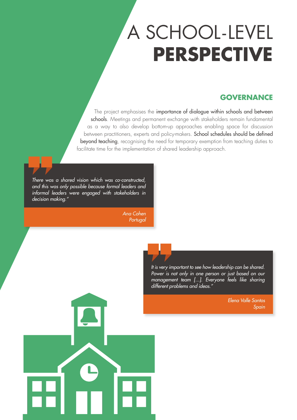### A SCHOOL-LEVEL **PERSPECTIVE**

### **GOVERNANCE**

The project emphasises the importance of dialogue within schools and between schools. Meetings and permanent exchange with stakeholders remain fundamental as a way to also develop bottom-up approaches enabling space for discussion between practitioners, experts and policy-makers. School schedules should be defined beyond teaching, recognising the need for temporary exemption from teaching duties to facilitate time for the implementation of shared leadership approach.

*There was a shared vision which was co-constructed, and this was only possible because formal leaders and informal leaders were engaged with stakeholders in decision making."*

> *Ana Cohen Portugal*

> > *It is very important to see how leadership can be shared. Power is not only in one person or just based on our management team [...]. Everyone feels like sharing different problems and ideas."*

> > > *Elena Valle Santos Spain*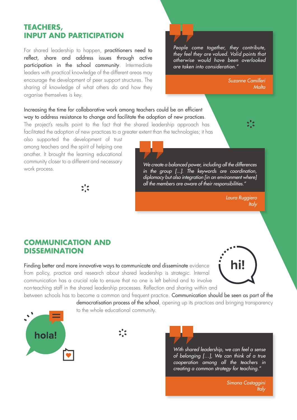### **TEACHERS, INPUT AND PARTICIPATION**

For shared leadership to happen, practitioners need to reflect, share and address issues through active participation in the school community. Intermediate leaders with practical knowledge of the different areas may encourage the development of peer support structures. The sharing of knowledge of what others do and how they organise themselves is key.

*People come together, they contribute, they feel they are valued. Valid points that otherwise would have been overlooked are taken into consideration."*

> *Suzanne Camilleri Malta*

### Increasing the time for collaborative work among teachers could be an efficient way to address resistance to change and facilitate the adoption of new practices.

The project's results point to the fact that the shared leadership approach has facilitated the adoption of new practices to a greater extent than the technologies; it has

also supported the development of trust among teachers and the spirit of helping one another. It brought the learning educational community closer to a different and necessary work process.



*We create a balanced power, including all the differences in the group [...]. The keywords are coordination, diplomacy but also integration [in an environment where] all the members are aware of their responsibilities."*

> *Laura Ruggiero Italy*

### **COMMUNICATION AND DISSEMINATION**

Finding better and more innovative ways to communicate and disseminate evidence from policy, practice and research about shared leadership is strategic. Internal communication has a crucial role to ensure that no one is left behind and to involve non-teaching staff in the shared leadership processes. Reflection and sharing within and

between schools has to become a common and frequent practice. Communication should be seen as part of the democratisation process of the school, opening up its practices and bringing transparency to the whole educational community.





*With shared leadership, we can feel a sense of belonging […], We can think of a true cooperation among all the teachers in creating a common strategy for teaching."*

> *Simona Costaggini Italy*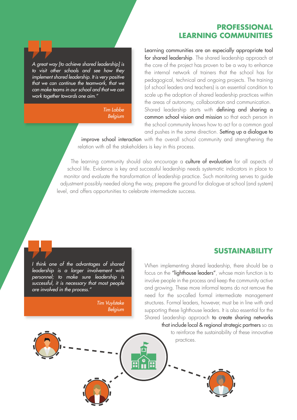#### **PROFESSIONAL LEARNING COMMUNITIES**

*A great way [to achieve shared leadership] is to visit other schools and see how they implement shared leadership. It is very positive that we can continue the teamwork, that we can make teams in our school and that we can work together towards one aim."*

> *Tim Labbe Belgium*

Learning communities are an especially appropriate tool for shared leadership. The shared leadership approach at the core of the project has proven to be a way to enhance the internal network of trainers that the school has for pedagogical, technical and ongoing projects. The training (of school leaders and teachers) is an essential condition to scale up the adoption of shared leadership practices within the areas of autonomy, collaboration and communication. Shared leadership starts with defining and sharing a common school vision and mission so that each person in the school community knows how to act for a common goal and pushes in the same direction. Setting up a dialogue to

improve school interaction with the overall school community and strengthening the relation with all the stakeholders is key in this process.

The learning community should also encourage a culture of evaluation for all aspects of school life. Evidence is key and successful leadership needs systematic indicators in place to monitor and evaluate the transformation of leadership practice. Such monitoring serves to guide adjustment possibly needed along the way, prepare the ground for dialogue at school (and system) level, and offers opportunities to celebrate intermediate success.

Ì.

π

*I think one of the advantages of shared leadership is a larger involvement with personnel; to make sure leadership is successful, it is necessary that most people are involved in the process."*

> *Tim Vuylsteke Belgium*

#### **SUSTAINABILITY**

When implementing shared leadership, there should be a focus on the "lighthouse leaders", whose main function is to involve people in the process and keep the community active and growing. These more informal teams do not remove the need for the so-called formal intermediate management structures. Formal leaders, however, must be in line with and supporting these lighthouse leaders. It is also essential for the Shared Leadership approach to create sharing networks that include local & regional strategic partners so as

> to reinforce the sustainability of these innovative practices.